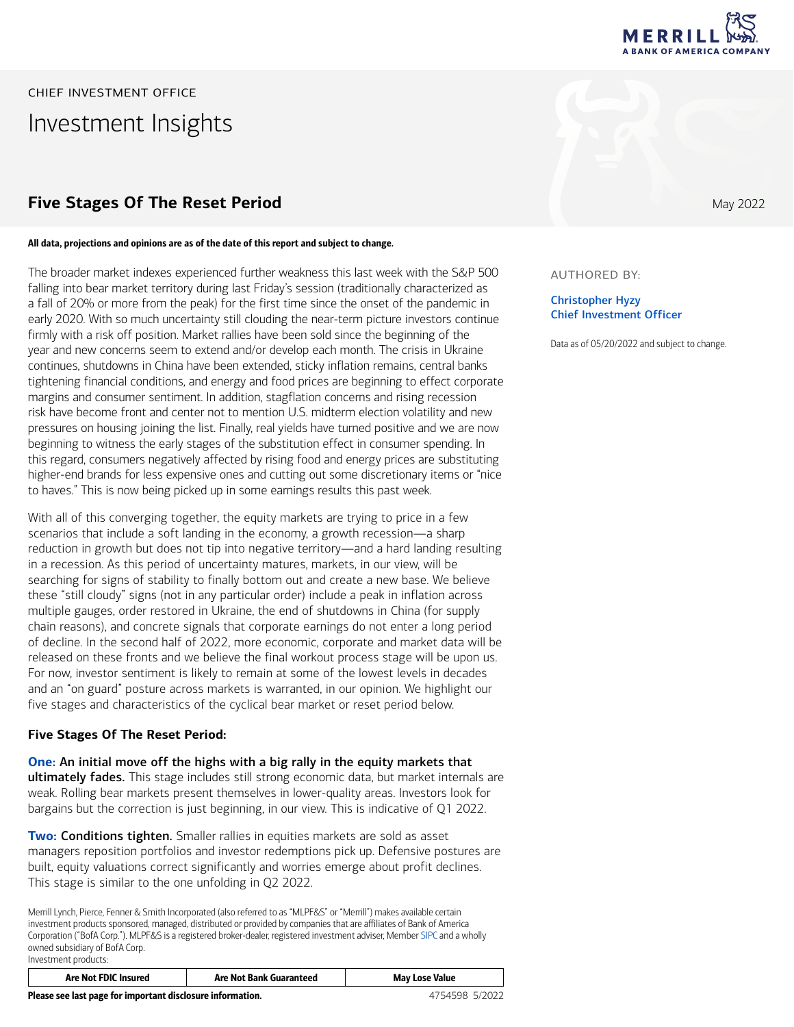

AUTHORED BY:

Christopher Hyzy Chief Investment Officer

Data as of 05/20/2022 and subject to change.

CHIEF INVESTMENT OFFICE Investment Insights

## **Five Stages Of The Reset Period** May 2022

#### All data, projections and opinions are as of the date of this report and subject to change.

The broader market indexes experienced further weakness this last week with the S&P 500 falling into bear market territory during last Friday's session (traditionally characterized as a fall of 20% or more from the peak) for the first time since the onset of the pandemic in early 2020. With so much uncertainty still clouding the near-term picture investors continue firmly with a risk off position. Market rallies have been sold since the beginning of the year and new concerns seem to extend and/or develop each month. The crisis in Ukraine continues, shutdowns in China have been extended, sticky inflation remains, central banks tightening financial conditions, and energy and food prices are beginning to effect corporate margins and consumer sentiment. In addition, stagflation concerns and rising recession risk have become front and center not to mention U.S. midterm election volatility and new pressures on housing joining the list. Finally, real yields have turned positive and we are now beginning to witness the early stages of the substitution effect in consumer spending. In this regard, consumers negatively affected by rising food and energy prices are substituting higher-end brands for less expensive ones and cutting out some discretionary items or "nice to haves." This is now being picked up in some earnings results this past week.

With all of this converging together, the equity markets are trying to price in a few scenarios that include a soft landing in the economy, a growth recession—a sharp reduction in growth but does not tip into negative territory—and a hard landing resulting in a recession. As this period of uncertainty matures, markets, in our view, will be searching for signs of stability to finally bottom out and create a new base. We believe these "still cloudy" signs (not in any particular order) include a peak in inflation across multiple gauges, order restored in Ukraine, the end of shutdowns in China (for supply chain reasons), and concrete signals that corporate earnings do not enter a long period of decline. In the second half of 2022, more economic, corporate and market data will be released on these fronts and we believe the final workout process stage will be upon us. For now, investor sentiment is likely to remain at some of the lowest levels in decades and an "on guard" posture across markets is warranted, in our opinion. We highlight our five stages and characteristics of the cyclical bear market or reset period below.

### **Five Stages Of The Reset Period:**

**One:** An initial move off the highs with a big rally in the equity markets that ultimately fades. This stage includes still strong economic data, but market internals are weak. Rolling bear markets present themselves in lower-quality areas. Investors look for bargains but the correction is just beginning, in our view. This is indicative of Q1 2022.

**Two:** Conditions tighten. Smaller rallies in equities markets are sold as asset managers reposition portfolios and investor redemptions pick up. Defensive postures are built, equity valuations correct significantly and worries emerge about profit declines. This stage is similar to the one unfolding in Q2 2022.

Merrill Lynch, Pierce, Fenner & Smith Incorporated (also referred to as "MLPF&S" or "Merrill") makes available certain investment products sponsored, managed, distributed or provided by companies that are affiliates of Bank of America Corporation ("BofA Corp."). MLPF&S is a registered broker-dealer, registered investment adviser, Member [SIPC](https://www.sipc.org/) and a wholly owned subsidiary of BofA Corp. Investment products:

| <b>Are Not FDIC Insured</b> | Are Not Bank Guaranteed | May Lose Value |
|-----------------------------|-------------------------|----------------|
|                             |                         |                |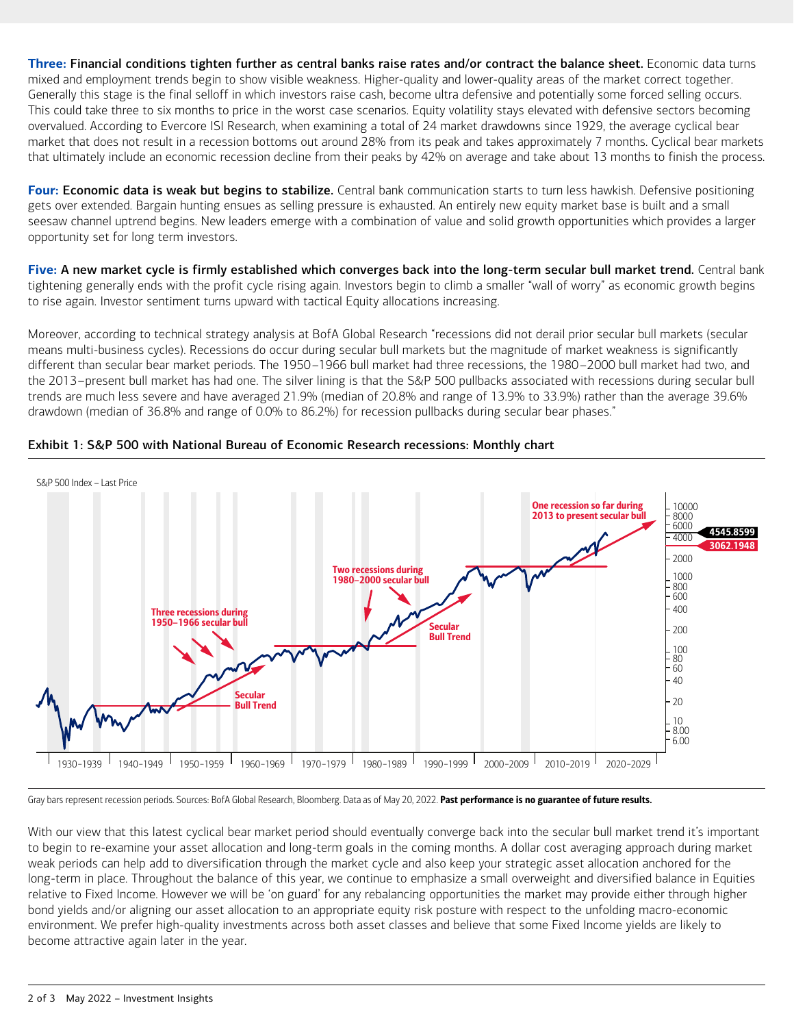**Three:** Financial conditions tighten further as central banks raise rates and/or contract the balance sheet. Economic data turns mixed and employment trends begin to show visible weakness. Higher-quality and lower-quality areas of the market correct together. Generally this stage is the final selloff in which investors raise cash, become ultra defensive and potentially some forced selling occurs. This could take three to six months to price in the worst case scenarios. Equity volatility stays elevated with defensive sectors becoming overvalued. According to Evercore ISI Research, when examining a total of 24 market drawdowns since 1929, the average cyclical bear market that does not result in a recession bottoms out around 28% from its peak and takes approximately 7 months. Cyclical bear markets that ultimately include an economic recession decline from their peaks by 42% on average and take about 13 months to finish the process.

**Four:** Economic data is weak but begins to stabilize. Central bank communication starts to turn less hawkish. Defensive positioning gets over extended. Bargain hunting ensues as selling pressure is exhausted. An entirely new equity market base is built and a small seesaw channel uptrend begins. New leaders emerge with a combination of value and solid growth opportunities which provides a larger opportunity set for long term investors.

**Five:** A new market cycle is firmly established which converges back into the long-term secular bull market trend. Central bank tightening generally ends with the profit cycle rising again. Investors begin to climb a smaller "wall of worry" as economic growth begins to rise again. Investor sentiment turns upward with tactical Equity allocations increasing.

Moreover, according to technical strategy analysis at BofA Global Research "recessions did not derail prior secular bull markets (secular means multi-business cycles). Recessions do occur during secular bull markets but the magnitude of market weakness is significantly different than secular bear market periods. The 1950–1966 bull market had three recessions, the 1980–2000 bull market had two, and the 2013–present bull market has had one. The silver lining is that the S&P 500 pullbacks associated with recessions during secular bull trends are much less severe and have averaged 21.9% (median of 20.8% and range of 13.9% to 33.9%) rather than the average 39.6% drawdown (median of 36.8% and range of 0.0% to 86.2%) for recession pullbacks during secular bear phases."



### Exhibit 1: S&P 500 with National Bureau of Economic Research recessions: Monthly chart

Gray bars represent recession periods. Sources: BofA Global Research, Bloomberg. Data as of May 20, 2022. Past performance is no guarantee of future results.

With our view that this latest cyclical bear market period should eventually converge back into the secular bull market trend it's important to begin to re-examine your asset allocation and long-term goals in the coming months. A dollar cost averaging approach during market weak periods can help add to diversification through the market cycle and also keep your strategic asset allocation anchored for the long-term in place. Throughout the balance of this year, we continue to emphasize a small overweight and diversified balance in Equities relative to Fixed Income. However we will be 'on guard' for any rebalancing opportunities the market may provide either through higher bond yields and/or aligning our asset allocation to an appropriate equity risk posture with respect to the unfolding macro-economic environment. We prefer high-quality investments across both asset classes and believe that some Fixed Income yields are likely to become attractive again later in the year.